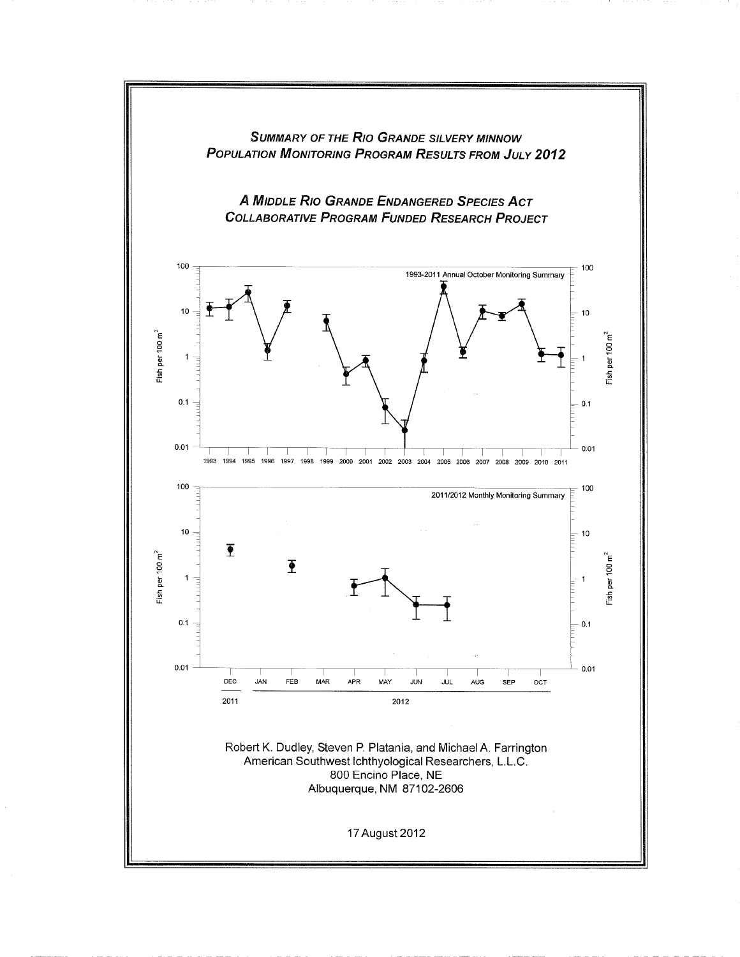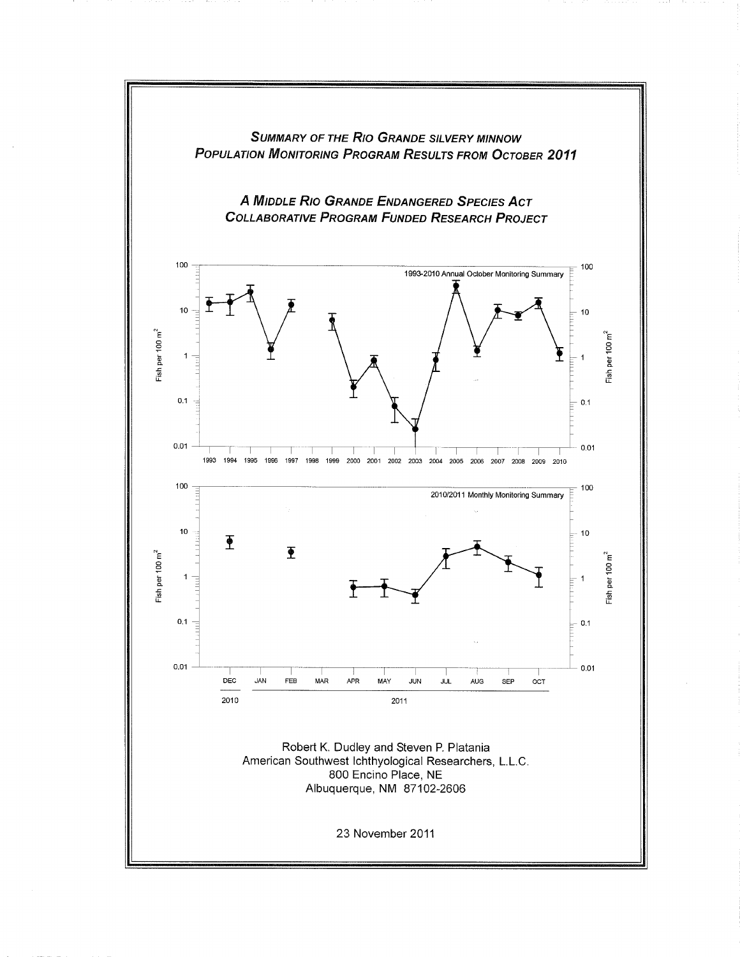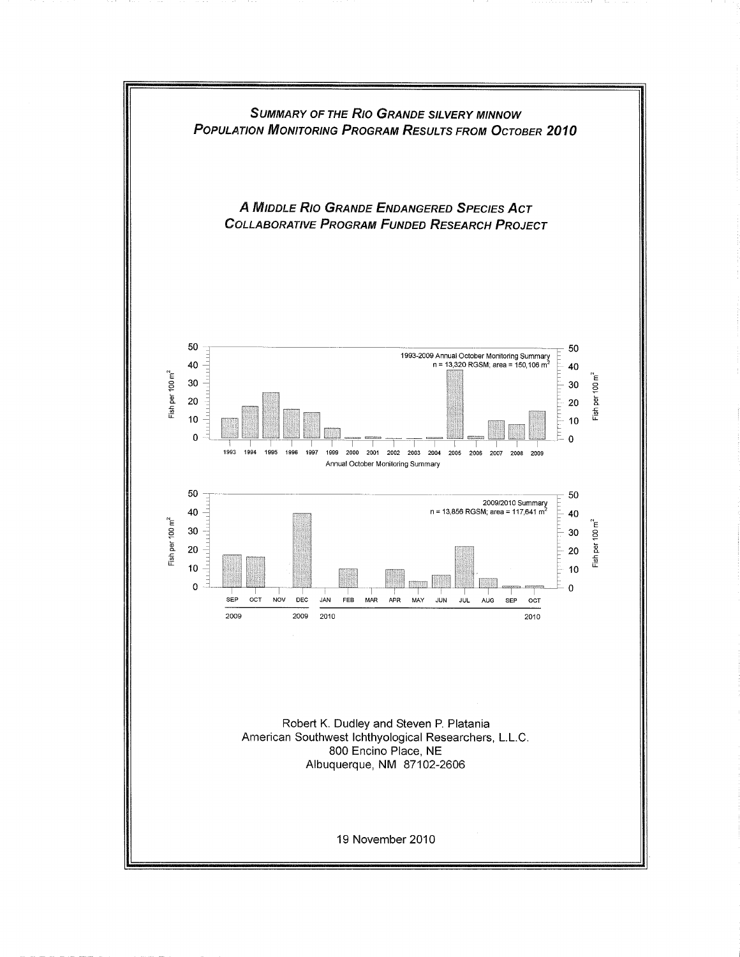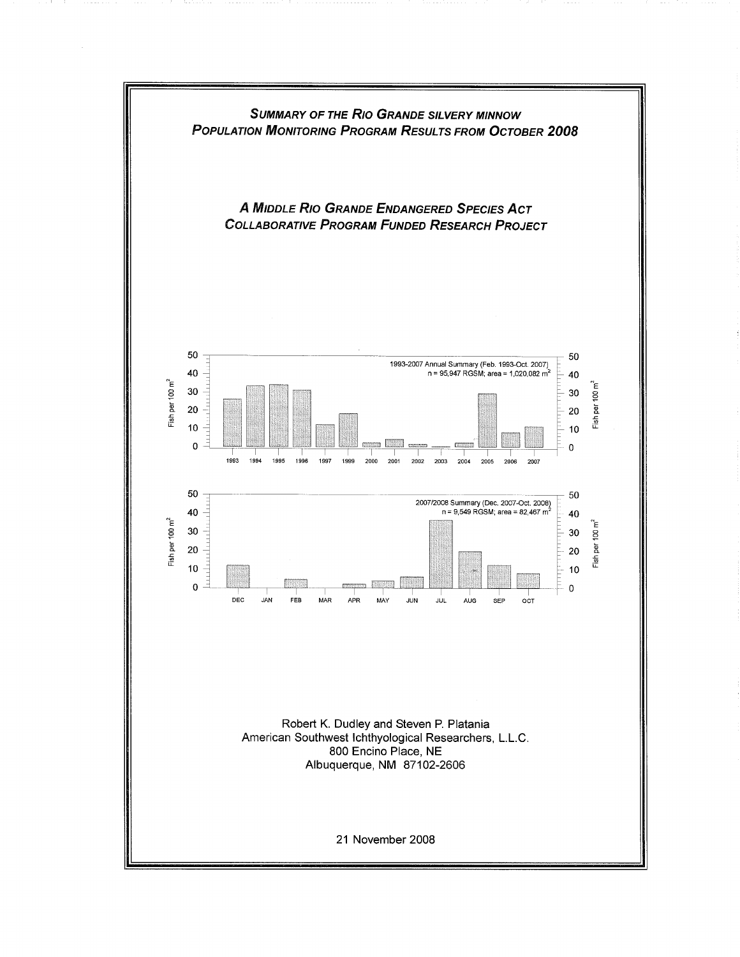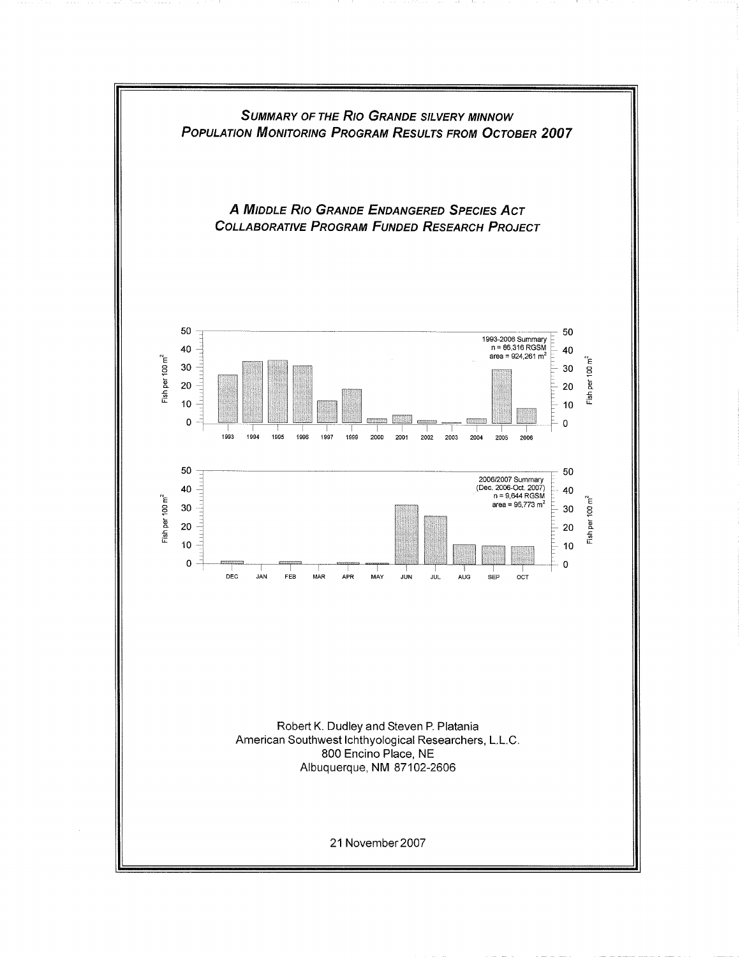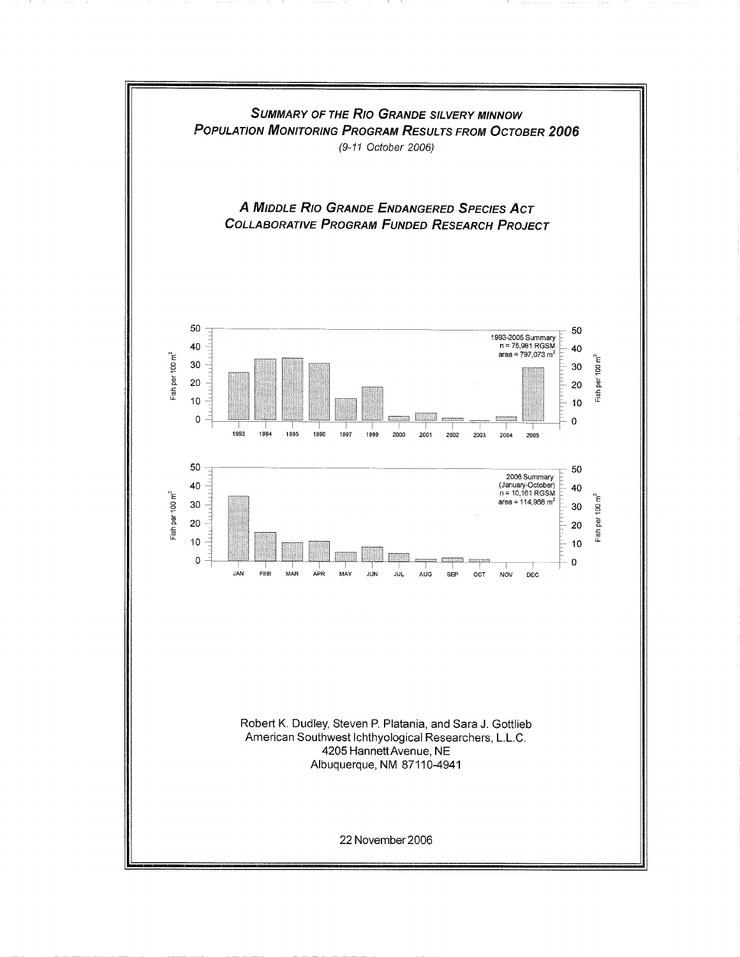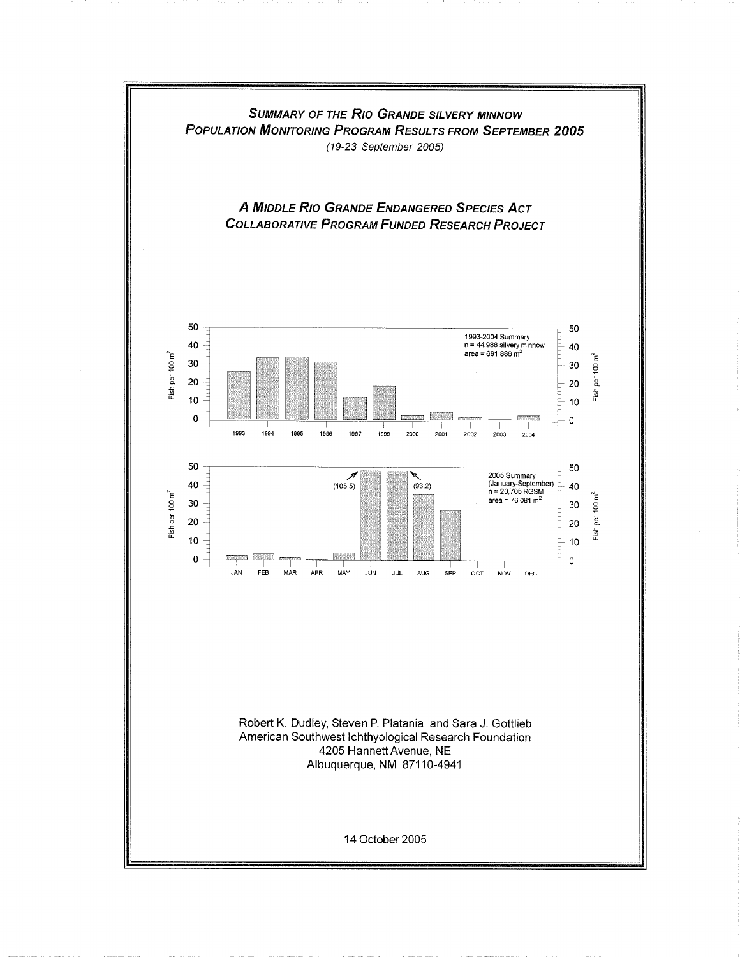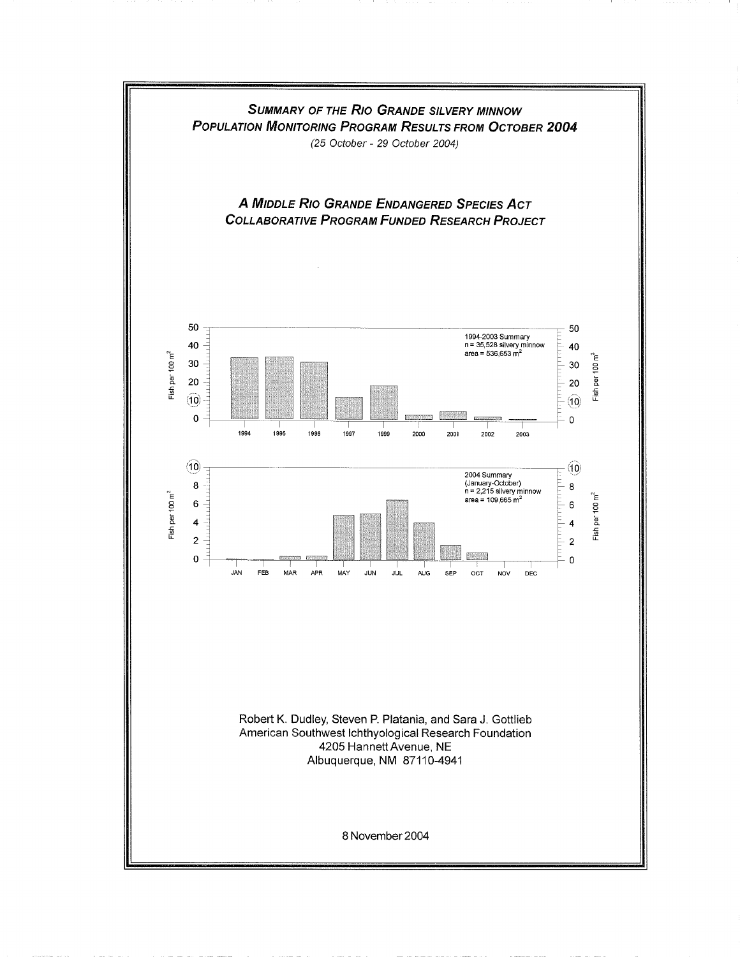